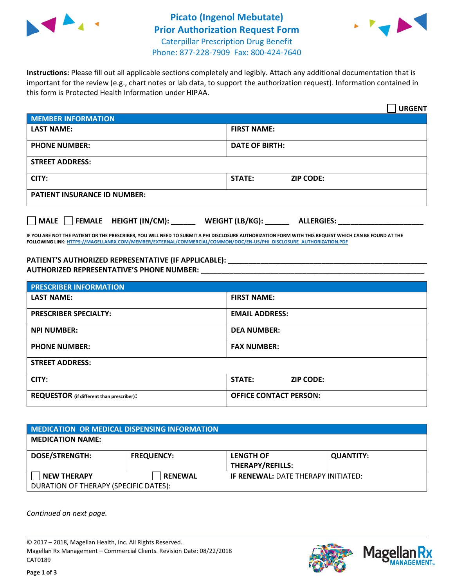



**Instructions:** Please fill out all applicable sections completely and legibly. Attach any additional documentation that is important for the review (e.g., chart notes or lab data, to support the authorization request). Information contained in this form is Protected Health Information under HIPAA.

|                                       | <b>URGENT</b>                        |  |  |  |
|---------------------------------------|--------------------------------------|--|--|--|
| <b>MEMBER INFORMATION</b>             |                                      |  |  |  |
| <b>LAST NAME:</b>                     | <b>FIRST NAME:</b>                   |  |  |  |
| <b>PHONE NUMBER:</b>                  | <b>DATE OF BIRTH:</b>                |  |  |  |
| <b>STREET ADDRESS:</b>                |                                      |  |  |  |
| CITY:                                 | <b>ZIP CODE:</b><br><b>STATE:</b>    |  |  |  |
| <b>PATIENT INSURANCE ID NUMBER:</b>   |                                      |  |  |  |
| FEMALE HEIGHT (IN/CM):<br><b>MALE</b> | WEIGHT (LB/KG):<br><b>ALLERGIES:</b> |  |  |  |

**IF YOU ARE NOT THE PATIENT OR THE PRESCRIBER, YOU WILL NEED TO SUBMIT A PHI DISCLOSURE AUTHORIZATION FORM WITH THIS REQUEST WHICH CAN BE FOUND AT THE FOLLOWING LINK[: HTTPS://MAGELLANRX.COM/MEMBER/EXTERNAL/COMMERCIAL/COMMON/DOC/EN-US/PHI\\_DISCLOSURE\\_AUTHORIZATION.PDF](https://magellanrx.com/member/external/commercial/common/doc/en-us/PHI_Disclosure_Authorization.pdf)**

PATIENT'S AUTHORIZED REPRESENTATIVE (IF APPLICABLE): **AUTHORIZED REPRESENTATIVE'S PHONE NUMBER:** \_\_\_\_\_\_\_\_\_\_\_\_\_\_\_\_\_\_\_\_\_\_\_\_\_\_\_\_\_\_\_\_\_\_\_\_\_\_\_\_\_\_\_\_\_\_\_\_\_\_\_\_\_\_\_

| <b>PRESCRIBER INFORMATION</b>             |                               |  |  |  |
|-------------------------------------------|-------------------------------|--|--|--|
| <b>LAST NAME:</b>                         | <b>FIRST NAME:</b>            |  |  |  |
| <b>PRESCRIBER SPECIALTY:</b>              | <b>EMAIL ADDRESS:</b>         |  |  |  |
| <b>NPI NUMBER:</b>                        | <b>DEA NUMBER:</b>            |  |  |  |
| <b>PHONE NUMBER:</b>                      | <b>FAX NUMBER:</b>            |  |  |  |
| <b>STREET ADDRESS:</b>                    |                               |  |  |  |
| CITY:                                     | STATE:<br><b>ZIP CODE:</b>    |  |  |  |
| REQUESTOR (if different than prescriber): | <b>OFFICE CONTACT PERSON:</b> |  |  |  |

| <b>MEDICATION OR MEDICAL DISPENSING INFORMATION</b> |                   |                                            |                  |  |  |
|-----------------------------------------------------|-------------------|--------------------------------------------|------------------|--|--|
| <b>MEDICATION NAME:</b>                             |                   |                                            |                  |  |  |
| <b>DOSE/STRENGTH:</b>                               | <b>FREQUENCY:</b> | <b>LENGTH OF</b>                           | <b>QUANTITY:</b> |  |  |
|                                                     |                   | <b>THERAPY/REFILLS:</b>                    |                  |  |  |
| <b>NEW THERAPY</b>                                  | <b>RENEWAL</b>    | <b>IF RENEWAL: DATE THERAPY INITIATED:</b> |                  |  |  |
| DURATION OF THERAPY (SPECIFIC DATES):               |                   |                                            |                  |  |  |

*Continued on next page.*

© 2017 – 2018, Magellan Health, Inc. All Rights Reserved. Magellan Rx Management – Commercial Clients. Revision Date: 08/22/2018 CAT0189



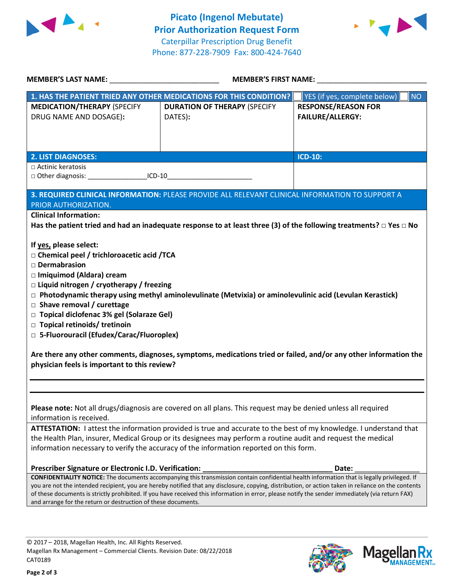



| <b>MEMBER'S LAST NAME:</b>                                                                                                                                                                                                                                                                                                                                                                                                                                                                                                                                                                  | <b>MEMBER'S FIRST NAME:</b>                                                                                                                                                                                                                                                                                                                                                                                                                            |                                                       |  |  |  |
|---------------------------------------------------------------------------------------------------------------------------------------------------------------------------------------------------------------------------------------------------------------------------------------------------------------------------------------------------------------------------------------------------------------------------------------------------------------------------------------------------------------------------------------------------------------------------------------------|--------------------------------------------------------------------------------------------------------------------------------------------------------------------------------------------------------------------------------------------------------------------------------------------------------------------------------------------------------------------------------------------------------------------------------------------------------|-------------------------------------------------------|--|--|--|
|                                                                                                                                                                                                                                                                                                                                                                                                                                                                                                                                                                                             | 1. HAS THE PATIENT TRIED ANY OTHER MEDICATIONS FOR THIS CONDITION?                                                                                                                                                                                                                                                                                                                                                                                     | NO <sub>1</sub><br>YES (if yes, complete below)       |  |  |  |
| <b>MEDICATION/THERAPY (SPECIFY</b><br>DRUG NAME AND DOSAGE):                                                                                                                                                                                                                                                                                                                                                                                                                                                                                                                                | <b>DURATION OF THERAPY (SPECIFY</b><br>DATES):                                                                                                                                                                                                                                                                                                                                                                                                         | <b>RESPONSE/REASON FOR</b><br><b>FAILURE/ALLERGY:</b> |  |  |  |
| <b>2. LIST DIAGNOSES:</b>                                                                                                                                                                                                                                                                                                                                                                                                                                                                                                                                                                   |                                                                                                                                                                                                                                                                                                                                                                                                                                                        | <b>ICD-10:</b>                                        |  |  |  |
| □ Actinic keratosis<br>$\Box$ Other diagnosis: $\Box$ ICD-10                                                                                                                                                                                                                                                                                                                                                                                                                                                                                                                                |                                                                                                                                                                                                                                                                                                                                                                                                                                                        |                                                       |  |  |  |
| 3. REQUIRED CLINICAL INFORMATION: PLEASE PROVIDE ALL RELEVANT CLINICAL INFORMATION TO SUPPORT A<br>PRIOR AUTHORIZATION.                                                                                                                                                                                                                                                                                                                                                                                                                                                                     |                                                                                                                                                                                                                                                                                                                                                                                                                                                        |                                                       |  |  |  |
| <b>Clinical Information:</b><br>Has the patient tried and had an inadequate response to at least three (3) of the following treatments? $\Box$ Yes $\Box$ No                                                                                                                                                                                                                                                                                                                                                                                                                                |                                                                                                                                                                                                                                                                                                                                                                                                                                                        |                                                       |  |  |  |
| If yes, please select:<br>□ Chemical peel / trichloroacetic acid /TCA<br>$\square$ Dermabrasion<br>□ Imiquimod (Aldara) cream<br>$\Box$ Liquid nitrogen / cryotherapy / freezing<br>$\Box$ Photodynamic therapy using methyl aminolevulinate (Metvixia) or aminolevulinic acid (Levulan Kerastick)<br>$\square$ Shave removal / curettage<br>□ Topical diclofenac 3% gel (Solaraze Gel)<br>□ Topical retinoids/ tretinoin<br>□ 5-Fluorouracil (Efudex/Carac/Fluoroplex)<br>Are there any other comments, diagnoses, symptoms, medications tried or failed, and/or any other information the |                                                                                                                                                                                                                                                                                                                                                                                                                                                        |                                                       |  |  |  |
| physician feels is important to this review?                                                                                                                                                                                                                                                                                                                                                                                                                                                                                                                                                |                                                                                                                                                                                                                                                                                                                                                                                                                                                        |                                                       |  |  |  |
| Please note: Not all drugs/diagnosis are covered on all plans. This request may be denied unless all required<br>information is received.                                                                                                                                                                                                                                                                                                                                                                                                                                                   |                                                                                                                                                                                                                                                                                                                                                                                                                                                        |                                                       |  |  |  |
| ATTESTATION: I attest the information provided is true and accurate to the best of my knowledge. I understand that<br>the Health Plan, insurer, Medical Group or its designees may perform a routine audit and request the medical<br>information necessary to verify the accuracy of the information reported on this form.                                                                                                                                                                                                                                                                |                                                                                                                                                                                                                                                                                                                                                                                                                                                        |                                                       |  |  |  |
| Prescriber Signature or Electronic I.D. Verification:                                                                                                                                                                                                                                                                                                                                                                                                                                                                                                                                       |                                                                                                                                                                                                                                                                                                                                                                                                                                                        | Date:                                                 |  |  |  |
| and arrange for the return or destruction of these documents.                                                                                                                                                                                                                                                                                                                                                                                                                                                                                                                               | CONFIDENTIALITY NOTICE: The documents accompanying this transmission contain confidential health information that is legally privileged. If<br>you are not the intended recipient, you are hereby notified that any disclosure, copying, distribution, or action taken in reliance on the contents<br>of these documents is strictly prohibited. If you have received this information in error, please notify the sender immediately (via return FAX) |                                                       |  |  |  |